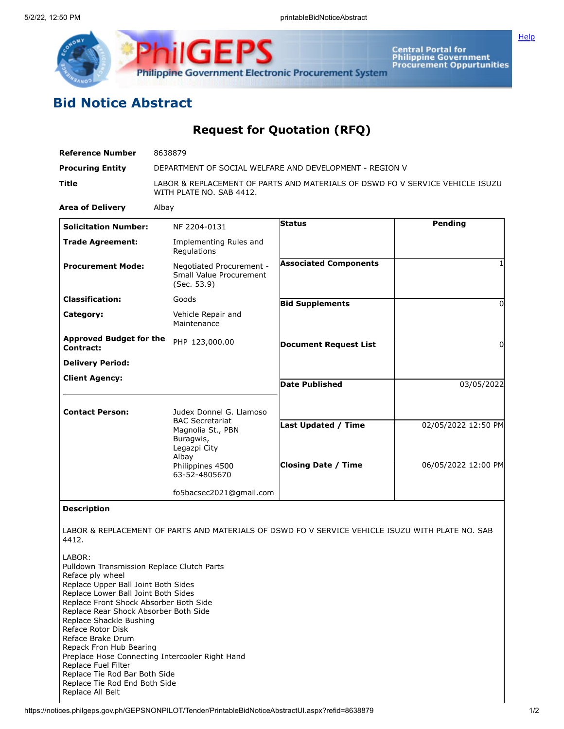



Central Portal for<br>Philippine Government<br>Procurement Oppurtunities

## **Bid Notice Abstract**

## **Request for Quotation (RFQ)**

| <b>Reference Number</b>                                                                                                                                                                                                                                                                   | 8638879                                                                                                   |                              |                     |
|-------------------------------------------------------------------------------------------------------------------------------------------------------------------------------------------------------------------------------------------------------------------------------------------|-----------------------------------------------------------------------------------------------------------|------------------------------|---------------------|
| <b>Procuring Entity</b>                                                                                                                                                                                                                                                                   | DEPARTMENT OF SOCIAL WELFARE AND DEVELOPMENT - REGION V                                                   |                              |                     |
| Title                                                                                                                                                                                                                                                                                     | LABOR & REPLACEMENT OF PARTS AND MATERIALS OF DSWD FO V SERVICE VEHICLE ISUZU<br>WITH PLATE NO. SAB 4412. |                              |                     |
| <b>Area of Delivery</b>                                                                                                                                                                                                                                                                   | Albay                                                                                                     |                              |                     |
| <b>Solicitation Number:</b>                                                                                                                                                                                                                                                               | NF 2204-0131                                                                                              | <b>Status</b>                | Pending             |
| <b>Trade Agreement:</b>                                                                                                                                                                                                                                                                   | Implementing Rules and<br>Regulations                                                                     |                              |                     |
| <b>Procurement Mode:</b>                                                                                                                                                                                                                                                                  | Negotiated Procurement -<br>Small Value Procurement<br>(Sec. 53.9)                                        | <b>Associated Components</b> | 1                   |
| <b>Classification:</b>                                                                                                                                                                                                                                                                    | Goods                                                                                                     | <b>Bid Supplements</b>       | 0                   |
| Category:                                                                                                                                                                                                                                                                                 | Vehicle Repair and<br>Maintenance                                                                         |                              |                     |
| <b>Approved Budget for the</b><br><b>Contract:</b>                                                                                                                                                                                                                                        | PHP 123,000.00                                                                                            | <b>Document Request List</b> | 0                   |
| <b>Delivery Period:</b>                                                                                                                                                                                                                                                                   |                                                                                                           |                              |                     |
| <b>Client Agency:</b>                                                                                                                                                                                                                                                                     |                                                                                                           | <b>Date Published</b>        | 03/05/2022          |
| <b>Contact Person:</b>                                                                                                                                                                                                                                                                    | Judex Donnel G. Llamoso                                                                                   |                              |                     |
|                                                                                                                                                                                                                                                                                           | <b>BAC Secretariat</b><br>Magnolia St., PBN<br>Buragwis,<br>Legazpi City<br>Albay                         | <b>Last Updated / Time</b>   | 02/05/2022 12:50 PM |
|                                                                                                                                                                                                                                                                                           | Philippines 4500<br>63-52-4805670                                                                         | <b>Closing Date / Time</b>   | 06/05/2022 12:00 PM |
|                                                                                                                                                                                                                                                                                           | fo5bacsec2021@gmail.com                                                                                   |                              |                     |
| <b>Description</b>                                                                                                                                                                                                                                                                        |                                                                                                           |                              |                     |
| 4412.                                                                                                                                                                                                                                                                                     | LABOR & REPLACEMENT OF PARTS AND MATERIALS OF DSWD FO V SERVICE VEHICLE ISUZU WITH PLATE NO. SAB          |                              |                     |
| LABOR:<br>Pulldown Transmission Replace Clutch Parts<br>Reface ply wheel<br>Replace Upper Ball Joint Both Sides<br>Replace Lower Ball Joint Both Sides<br>Replace Front Shock Absorber Both Side<br>Replace Rear Shock Absorber Both Side<br>Replace Shackle Bushing<br>Reface Rotor Disk |                                                                                                           |                              |                     |

- Preplace Hose Connecting Intercooler Right Hand
- Replace Fuel Filter
- Replace Tie Rod Bar Both Side Replace Tie Rod End Both Side
- Replace All Belt